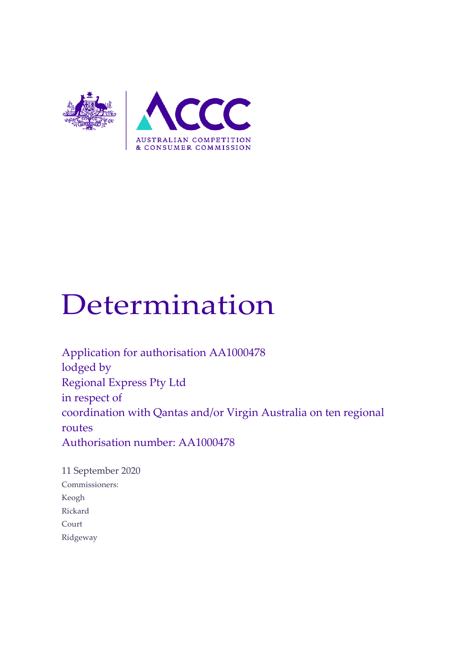

# Determination

Application for authorisation AA1000478 lodged by Regional Express Pty Ltd in respect of coordination with Qantas and/or Virgin Australia on ten regional routes Authorisation number: AA1000478

11 September 2020 Commissioners: Keogh Rickard Court Ridgeway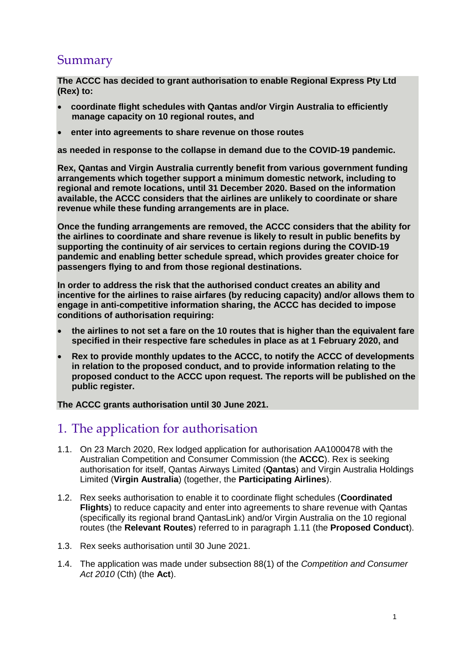# Summary

**The ACCC has decided to grant authorisation to enable Regional Express Pty Ltd (Rex) to:**

- **coordinate flight schedules with Qantas and/or Virgin Australia to efficiently manage capacity on 10 regional routes, and**
- **enter into agreements to share revenue on those routes**

**as needed in response to the collapse in demand due to the COVID-19 pandemic.**

**Rex, Qantas and Virgin Australia currently benefit from various government funding arrangements which together support a minimum domestic network, including to regional and remote locations, until 31 December 2020. Based on the information available, the ACCC considers that the airlines are unlikely to coordinate or share revenue while these funding arrangements are in place.**

**Once the funding arrangements are removed, the ACCC considers that the ability for the airlines to coordinate and share revenue is likely to result in public benefits by supporting the continuity of air services to certain regions during the COVID-19 pandemic and enabling better schedule spread, which provides greater choice for passengers flying to and from those regional destinations.**

**In order to address the risk that the authorised conduct creates an ability and incentive for the airlines to raise airfares (by reducing capacity) and/or allows them to engage in anti-competitive information sharing, the ACCC has decided to impose conditions of authorisation requiring:**

- **the airlines to not set a fare on the 10 routes that is higher than the equivalent fare specified in their respective fare schedules in place as at 1 February 2020, and**
- **Rex to provide monthly updates to the ACCC, to notify the ACCC of developments in relation to the proposed conduct, and to provide information relating to the proposed conduct to the ACCC upon request. The reports will be published on the public register.**

**The ACCC grants authorisation until 30 June 2021.**

# 1. The application for authorisation

- 1.1. On 23 March 2020, Rex lodged application for authorisation AA1000478 with the Australian Competition and Consumer Commission (the **ACCC**). Rex is seeking authorisation for itself, Qantas Airways Limited (**Qantas**) and Virgin Australia Holdings Limited (**Virgin Australia**) (together, the **Participating Airlines**).
- 1.2. Rex seeks authorisation to enable it to coordinate flight schedules (**Coordinated Flights**) to reduce capacity and enter into agreements to share revenue with Qantas (specifically its regional brand QantasLink) and/or Virgin Australia on the 10 regional routes (the **Relevant Routes**) referred to in paragraph 1.11 (the **Proposed Conduct**).
- 1.3. Rex seeks authorisation until 30 June 2021.
- 1.4. The application was made under subsection 88(1) of the *Competition and Consumer Act 2010* (Cth) (the **Act**).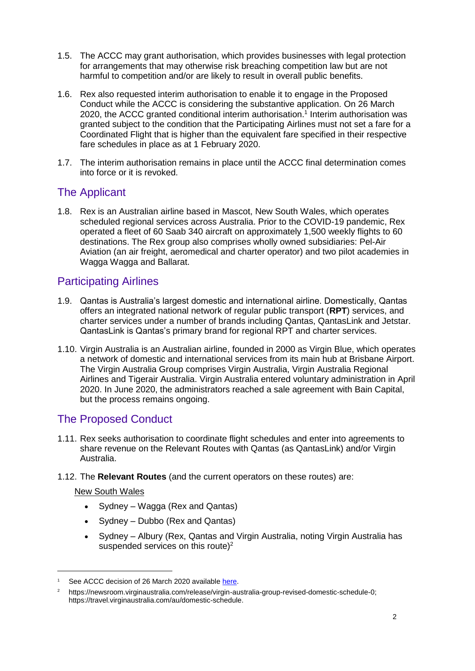- 1.5. The ACCC may grant authorisation, which provides businesses with legal protection for arrangements that may otherwise risk breaching competition law but are not harmful to competition and/or are likely to result in overall public benefits.
- 1.6. Rex also requested interim authorisation to enable it to engage in the Proposed Conduct while the ACCC is considering the substantive application. On 26 March 2020, the ACCC granted conditional interim authorisation.<sup>1</sup> Interim authorisation was granted subject to the condition that the Participating Airlines must not set a fare for a Coordinated Flight that is higher than the equivalent fare specified in their respective fare schedules in place as at 1 February 2020.
- 1.7. The interim authorisation remains in place until the ACCC final determination comes into force or it is revoked.

## The Applicant

1.8. Rex is an Australian airline based in Mascot, New South Wales, which operates scheduled regional services across Australia. Prior to the COVID-19 pandemic, Rex operated a fleet of 60 Saab 340 aircraft on approximately 1,500 weekly flights to 60 destinations. The Rex group also comprises wholly owned subsidiaries: Pel-Air Aviation (an air freight, aeromedical and charter operator) and two pilot academies in Wagga Wagga and Ballarat.

## Participating Airlines

- 1.9. Qantas is Australia's largest domestic and international airline. Domestically, Qantas offers an integrated national network of regular public transport (**RPT**) services, and charter services under a number of brands including Qantas, QantasLink and Jetstar. QantasLink is Qantas's primary brand for regional RPT and charter services.
- 1.10. Virgin Australia is an Australian airline, founded in 2000 as Virgin Blue, which operates a network of domestic and international services from its main hub at Brisbane Airport. The Virgin Australia Group comprises Virgin Australia, Virgin Australia Regional Airlines and Tigerair Australia. Virgin Australia entered voluntary administration in April 2020. In June 2020, the administrators reached a sale agreement with Bain Capital, but the process remains ongoing.

# The Proposed Conduct

- 1.11. Rex seeks authorisation to coordinate flight schedules and enter into agreements to share revenue on the Relevant Routes with Qantas (as QantasLink) and/or Virgin Australia.
- 1.12. The **Relevant Routes** (and the current operators on these routes) are:

#### New South Wales

- Sydney Wagga (Rex and Qantas)
- Sydney Dubbo (Rex and Qantas)
- Sydney Albury (Rex, Qantas and Virgin Australia, noting Virgin Australia has suspended services on this route)<sup>2</sup>

See ACCC decision of 26 March 2020 available [here.](https://www.accc.gov.au/system/files/public-registers/documents/Interim%20Authorisation%20Decsision%20-%2026.03.20%20-%20PR%20-%20AA1000478%20Rex.pdf)

<sup>2</sup> [https://newsroom.virginaustralia.com/release/virgin-australia-group-revised-domestic-schedule-0;](https://newsroom.virginaustralia.com/release/virgin-australia-group-revised-domestic-schedule-0) [https://travel.virginaustralia.com/au/domestic-schedule.](https://travel.virginaustralia.com/au/domestic-schedule)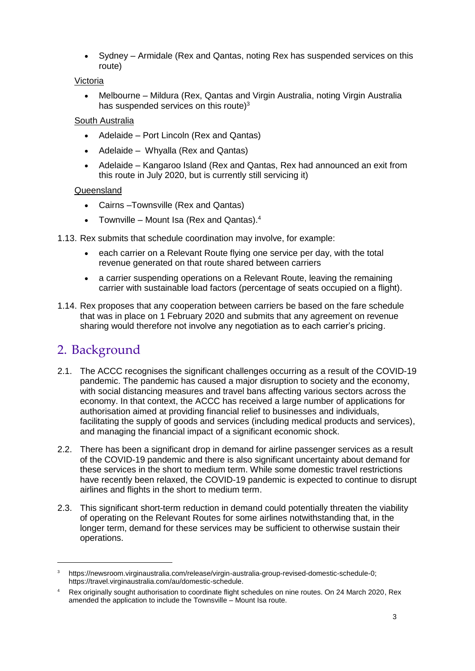• Sydney – Armidale (Rex and Qantas, noting Rex has suspended services on this route)

#### Victoria

 Melbourne – Mildura (Rex, Qantas and Virgin Australia, noting Virgin Australia has suspended services on this route)<sup>3</sup>

#### South Australia

- Adelaide Port Lincoln (Rex and Qantas)
- Adelaide Whyalla (Rex and Qantas)
- Adelaide Kangaroo Island (Rex and Qantas, Rex had announced an exit from this route in July 2020, but is currently still servicing it)

#### Queensland

- Cairns –Townsville (Rex and Qantas)
- Townville Mount Isa (Rex and Qantas). $4$
- 1.13. Rex submits that schedule coordination may involve, for example:
	- each carrier on a Relevant Route flying one service per day, with the total revenue generated on that route shared between carriers
	- a carrier suspending operations on a Relevant Route, leaving the remaining carrier with sustainable load factors (percentage of seats occupied on a flight).
- 1.14. Rex proposes that any cooperation between carriers be based on the fare schedule that was in place on 1 February 2020 and submits that any agreement on revenue sharing would therefore not involve any negotiation as to each carrier's pricing.

# 2. Background

- 2.1. The ACCC recognises the significant challenges occurring as a result of the COVID-19 pandemic. The pandemic has caused a major disruption to society and the economy, with social distancing measures and travel bans affecting various sectors across the economy. In that context, the ACCC has received a large number of applications for authorisation aimed at providing financial relief to businesses and individuals, facilitating the supply of goods and services (including medical products and services), and managing the financial impact of a significant economic shock.
- 2.2. There has been a significant drop in demand for airline passenger services as a result of the COVID-19 pandemic and there is also significant uncertainty about demand for these services in the short to medium term. While some domestic travel restrictions have recently been relaxed, the COVID-19 pandemic is expected to continue to disrupt airlines and flights in the short to medium term.
- 2.3. This significant short-term reduction in demand could potentially threaten the viability of operating on the Relevant Routes for some airlines notwithstanding that, in the longer term, demand for these services may be sufficient to otherwise sustain their operations.

<sup>3</sup> [https://newsroom.virginaustralia.com/release/virgin-australia-group-revised-domestic-schedule-0;](https://newsroom.virginaustralia.com/release/virgin-australia-group-revised-domestic-schedule-0) [https://travel.virginaustralia.com/au/domestic-schedule.](https://travel.virginaustralia.com/au/domestic-schedule)

<sup>4</sup> Rex originally sought authorisation to coordinate flight schedules on nine routes. On 24 March 2020, Rex amended the application to include the Townsville – Mount Isa route.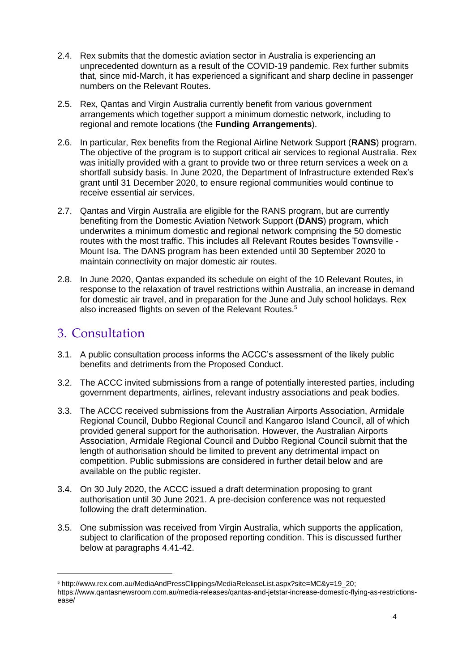- 2.4. Rex submits that the domestic aviation sector in Australia is experiencing an unprecedented downturn as a result of the COVID-19 pandemic. Rex further submits that, since mid-March, it has experienced a significant and sharp decline in passenger numbers on the Relevant Routes.
- 2.5. Rex, Qantas and Virgin Australia currently benefit from various government arrangements which together support a minimum domestic network, including to regional and remote locations (the **Funding Arrangements**).
- 2.6. In particular, Rex benefits from the [Regional Airline Network Support \(](https://www.grants.gov.au/?event=public.GO.show&GOUUID=760EC61B-D358-72D7-4BD2771AEF5C601C)**RANS**) program. The objective of the program is to support critical air services to regional Australia. Rex was initially provided with a grant to provide two or three return services a week on a shortfall subsidy basis. In June 2020, the Department of Infrastructure extended Rex's grant until 31 December 2020, to ensure regional communities would continue to receive essential air services.
- 2.7. Qantas and Virgin Australia are eligible for the RANS program, but are currently benefiting from the [Domestic Aviation Network Support \(](https://minister.infrastructure.gov.au/mccormack/media-release/federal-government-guarantees-domestic-aviation-network)**DANS**) program, which underwrites a minimum domestic and regional network comprising the 50 domestic routes with the most traffic. This includes all Relevant Routes besides Townsville - Mount Isa. The DANS program has been extended until 30 September 2020 to maintain connectivity on major domestic air routes.
- 2.8. In June 2020, Qantas expanded its schedule on eight of the 10 Relevant Routes, in response to the relaxation of travel restrictions within Australia, an increase in demand for domestic air travel, and in preparation for the June and July school holidays. Rex also increased flights on seven of the Relevant Routes.<sup>5</sup>

# 3. Consultation

- 3.1. A public consultation process informs the ACCC's assessment of the likely public benefits and detriments from the Proposed Conduct.
- 3.2. The ACCC invited submissions from a range of potentially interested parties, including government departments, airlines, relevant industry associations and peak bodies.
- 3.3. The ACCC received submissions from the Australian Airports Association, Armidale Regional Council, Dubbo Regional Council and Kangaroo Island Council, all of which provided general support for the authorisation. However, the Australian Airports Association, Armidale Regional Council and Dubbo Regional Council submit that the length of authorisation should be limited to prevent any detrimental impact on competition. Public submissions are considered in further detail below and are available on the public register.
- 3.4. On 30 July 2020, the ACCC issued a draft determination proposing to grant authorisation until 30 June 2021. A pre-decision conference was not requested following the draft determination.
- 3.5. One submission was received from Virgin Australia, which supports the application, subject to clarification of the proposed reporting condition. This is discussed further below at paragraphs 4.41-42.

<sup>5</sup> [http://www.rex.com.au/MediaAndPressClippings/MediaReleaseList.aspx?site=MC&y=19\\_20;](http://www.rex.com.au/MediaAndPressClippings/MediaReleaseList.aspx?site=MC&y=19_20) [https://www.qantasnewsroom.com.au/media-releases/qantas-and-jetstar-increase-domestic-flying-as-restrictions](https://www.qantasnewsroom.com.au/media-releases/qantas-and-jetstar-increase-domestic-flying-as-restrictions-ease/)[ease/](https://www.qantasnewsroom.com.au/media-releases/qantas-and-jetstar-increase-domestic-flying-as-restrictions-ease/)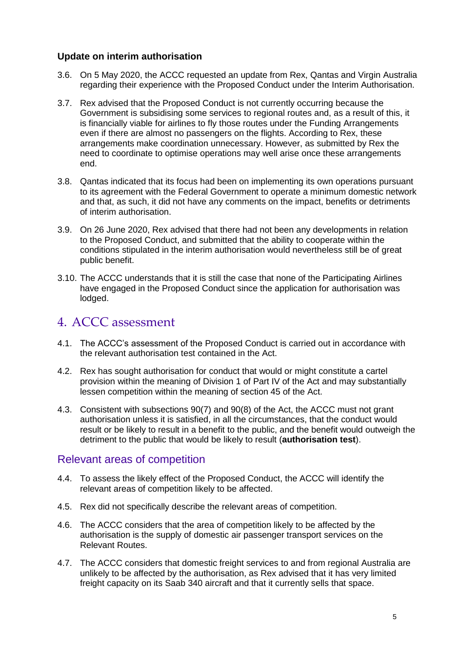#### **Update on interim authorisation**

- 3.6. On 5 May 2020, the ACCC requested an update from Rex, Qantas and Virgin Australia regarding their experience with the Proposed Conduct under the Interim Authorisation.
- 3.7. Rex advised that the Proposed Conduct is not currently occurring because the Government is subsidising some services to regional routes and, as a result of this, it is financially viable for airlines to fly those routes under the Funding Arrangements even if there are almost no passengers on the flights. According to Rex, these arrangements make coordination unnecessary. However, as submitted by Rex the need to coordinate to optimise operations may well arise once these arrangements end.
- 3.8. Qantas indicated that its focus had been on implementing its own operations pursuant to its agreement with the Federal Government to operate a minimum domestic network and that, as such, it did not have any comments on the impact, benefits or detriments of interim authorisation.
- 3.9. On 26 June 2020, Rex advised that there had not been any developments in relation to the Proposed Conduct, and submitted that the ability to cooperate within the conditions stipulated in the interim authorisation would nevertheless still be of great public benefit.
- 3.10. The ACCC understands that it is still the case that none of the Participating Airlines have engaged in the Proposed Conduct since the application for authorisation was lodged.

# 4. ACCC assessment

- 4.1. The ACCC's assessment of the Proposed Conduct is carried out in accordance with the relevant authorisation test contained in the Act.
- 4.2. Rex has sought authorisation for conduct that would or might constitute a cartel provision within the meaning of Division 1 of Part IV of the Act and may substantially lessen competition within the meaning of section 45 of the Act.
- 4.3. Consistent with subsections 90(7) and 90(8) of the Act, the ACCC must not grant authorisation unless it is satisfied, in all the circumstances, that the conduct would result or be likely to result in a benefit to the public, and the benefit would outweigh the detriment to the public that would be likely to result (**authorisation test**).

## Relevant areas of competition

- 4.4. To assess the likely effect of the Proposed Conduct, the ACCC will identify the relevant areas of competition likely to be affected.
- 4.5. Rex did not specifically describe the relevant areas of competition.
- 4.6. The ACCC considers that the area of competition likely to be affected by the authorisation is the supply of domestic air passenger transport services on the Relevant Routes.
- 4.7. The ACCC considers that domestic freight services to and from regional Australia are unlikely to be affected by the authorisation, as Rex advised that it has very limited freight capacity on its Saab 340 aircraft and that it currently sells that space.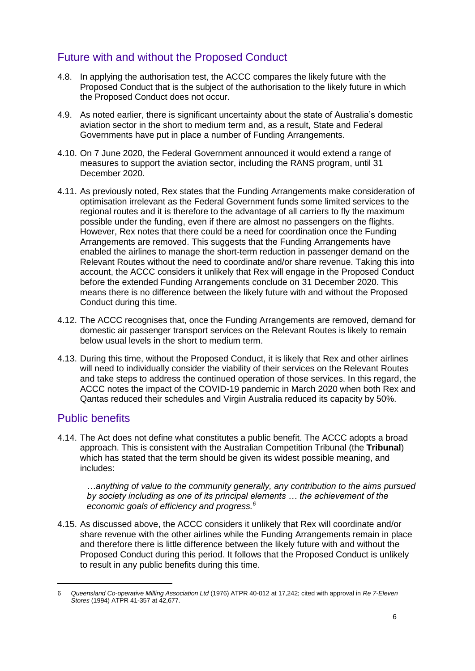# Future with and without the Proposed Conduct

- 4.8. In applying the authorisation test, the ACCC compares the likely future with the Proposed Conduct that is the subject of the authorisation to the likely future in which the Proposed Conduct does not occur.
- 4.9. As noted earlier, there is significant uncertainty about the state of Australia's domestic aviation sector in the short to medium term and, as a result, State and Federal Governments have put in place a number of Funding Arrangements.
- 4.10. On 7 June 2020, the Federal Government announced it would extend a range of measures to support the aviation sector, including the RANS program, until 31 December 2020.
- 4.11. As previously noted, Rex states that the Funding Arrangements make consideration of optimisation irrelevant as the Federal Government funds some limited services to the regional routes and it is therefore to the advantage of all carriers to fly the maximum possible under the funding, even if there are almost no passengers on the flights. However, Rex notes that there could be a need for coordination once the Funding Arrangements are removed. This suggests that the Funding Arrangements have enabled the airlines to manage the short-term reduction in passenger demand on the Relevant Routes without the need to coordinate and/or share revenue. Taking this into account, the ACCC considers it unlikely that Rex will engage in the Proposed Conduct before the extended Funding Arrangements conclude on 31 December 2020. This means there is no difference between the likely future with and without the Proposed Conduct during this time.
- 4.12. The ACCC recognises that, once the Funding Arrangements are removed, demand for domestic air passenger transport services on the Relevant Routes is likely to remain below usual levels in the short to medium term.
- 4.13. During this time, without the Proposed Conduct, it is likely that Rex and other airlines will need to individually consider the viability of their services on the Relevant Routes and take steps to address the continued operation of those services. In this regard, the ACCC notes the impact of the COVID-19 pandemic in March 2020 when both Rex and Qantas reduced their schedules and Virgin Australia reduced its capacity by 50%.

# Public benefits

-

4.14. The Act does not define what constitutes a public benefit. The ACCC adopts a broad approach. This is consistent with the Australian Competition Tribunal (the **Tribunal**) which has stated that the term should be given its widest possible meaning, and includes:

*…anything of value to the community generally, any contribution to the aims pursued by society including as one of its principal elements … the achievement of the economic goals of efficiency and progress.<sup>6</sup>*

4.15. As discussed above, the ACCC considers it unlikely that Rex will coordinate and/or share revenue with the other airlines while the Funding Arrangements remain in place and therefore there is little difference between the likely future with and without the Proposed Conduct during this period. It follows that the Proposed Conduct is unlikely to result in any public benefits during this time.

<sup>6</sup> *Queensland Co-operative Milling Association Ltd* (1976) ATPR 40-012 at 17,242; cited with approval in *Re 7-Eleven Stores* (1994) ATPR 41-357 at 42,677.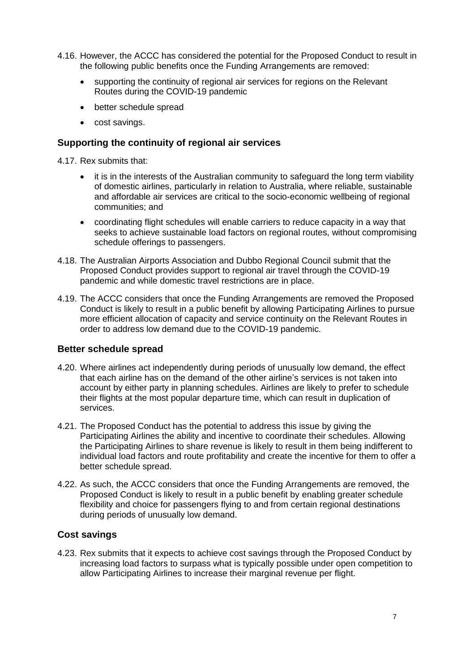- 4.16. However, the ACCC has considered the potential for the Proposed Conduct to result in the following public benefits once the Funding Arrangements are removed:
	- supporting the continuity of regional air services for regions on the Relevant Routes during the COVID-19 pandemic
	- better schedule spread
	- cost savings.

#### **Supporting the continuity of regional air services**

4.17. Rex submits that:

- it is in the interests of the Australian community to safeguard the long term viability of domestic airlines, particularly in relation to Australia, where reliable, sustainable and affordable air services are critical to the socio-economic wellbeing of regional communities; and
- coordinating flight schedules will enable carriers to reduce capacity in a way that seeks to achieve sustainable load factors on regional routes, without compromising schedule offerings to passengers.
- 4.18. The Australian Airports Association and Dubbo Regional Council submit that the Proposed Conduct provides support to regional air travel through the COVID-19 pandemic and while domestic travel restrictions are in place.
- 4.19. The ACCC considers that once the Funding Arrangements are removed the Proposed Conduct is likely to result in a public benefit by allowing Participating Airlines to pursue more efficient allocation of capacity and service continuity on the Relevant Routes in order to address low demand due to the COVID-19 pandemic.

#### **Better schedule spread**

- 4.20. Where airlines act independently during periods of unusually low demand, the effect that each airline has on the demand of the other airline's services is not taken into account by either party in planning schedules. Airlines are likely to prefer to schedule their flights at the most popular departure time, which can result in duplication of services.
- 4.21. The Proposed Conduct has the potential to address this issue by giving the Participating Airlines the ability and incentive to coordinate their schedules. Allowing the Participating Airlines to share revenue is likely to result in them being indifferent to individual load factors and route profitability and create the incentive for them to offer a better schedule spread.
- 4.22. As such, the ACCC considers that once the Funding Arrangements are removed, the Proposed Conduct is likely to result in a public benefit by enabling greater schedule flexibility and choice for passengers flying to and from certain regional destinations during periods of unusually low demand.

#### **Cost savings**

4.23. Rex submits that it expects to achieve cost savings through the Proposed Conduct by increasing load factors to surpass what is typically possible under open competition to allow Participating Airlines to increase their marginal revenue per flight.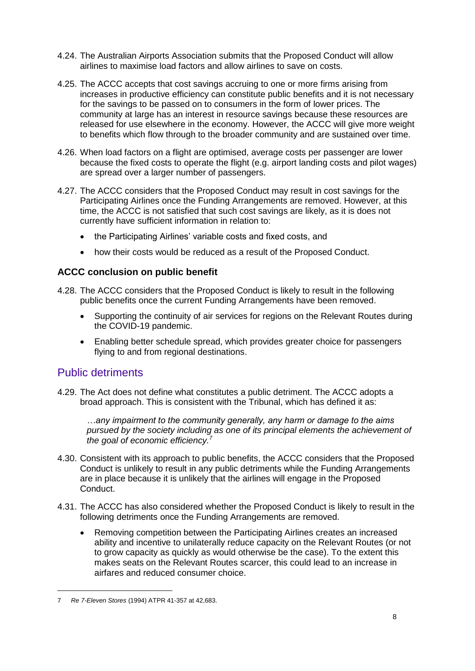- 4.24. The Australian Airports Association submits that the Proposed Conduct will allow airlines to maximise load factors and allow airlines to save on costs.
- 4.25. The ACCC accepts that cost savings accruing to one or more firms arising from increases in productive efficiency can constitute public benefits and it is not necessary for the savings to be passed on to consumers in the form of lower prices. The community at large has an interest in resource savings because these resources are released for use elsewhere in the economy. However, the ACCC will give more weight to benefits which flow through to the broader community and are sustained over time.
- 4.26. When load factors on a flight are optimised, average costs per passenger are lower because the fixed costs to operate the flight (e.g. airport landing costs and pilot wages) are spread over a larger number of passengers.
- 4.27. The ACCC considers that the Proposed Conduct may result in cost savings for the Participating Airlines once the Funding Arrangements are removed. However, at this time, the ACCC is not satisfied that such cost savings are likely, as it is does not currently have sufficient information in relation to:
	- the Participating Airlines' variable costs and fixed costs, and
	- how their costs would be reduced as a result of the Proposed Conduct.

#### **ACCC conclusion on public benefit**

- 4.28. The ACCC considers that the Proposed Conduct is likely to result in the following public benefits once the current Funding Arrangements have been removed.
	- Supporting the continuity of air services for regions on the Relevant Routes during the COVID-19 pandemic.
	- Enabling better schedule spread, which provides greater choice for passengers flying to and from regional destinations.

## Public detriments

4.29. The Act does not define what constitutes a public detriment. The ACCC adopts a broad approach. This is consistent with the Tribunal, which has defined it as:

*…any impairment to the community generally, any harm or damage to the aims pursued by the society including as one of its principal elements the achievement of the goal of economic efficiency.<sup>7</sup>*

- 4.30. Consistent with its approach to public benefits, the ACCC considers that the Proposed Conduct is unlikely to result in any public detriments while the Funding Arrangements are in place because it is unlikely that the airlines will engage in the Proposed Conduct.
- <span id="page-8-0"></span>4.31. The ACCC has also considered whether the Proposed Conduct is likely to result in the following detriments once the Funding Arrangements are removed.
	- Removing competition between the Participating Airlines creates an increased ability and incentive to unilaterally reduce capacity on the Relevant Routes (or not to grow capacity as quickly as would otherwise be the case). To the extent this makes seats on the Relevant Routes scarcer, this could lead to an increase in airfares and reduced consumer choice.

<sup>7</sup> *Re 7-Eleven Stores* (1994) ATPR 41-357 at 42,683.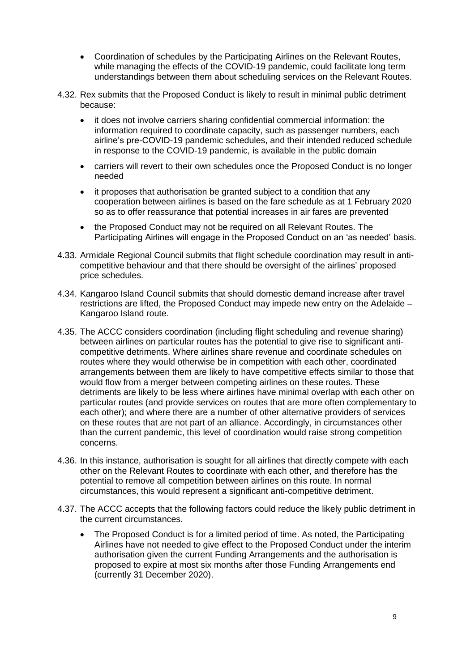- Coordination of schedules by the Participating Airlines on the Relevant Routes, while managing the effects of the COVID-19 pandemic, could facilitate long term understandings between them about scheduling services on the Relevant Routes.
- 4.32. Rex submits that the Proposed Conduct is likely to result in minimal public detriment because:
	- it does not involve carriers sharing confidential commercial information: the information required to coordinate capacity, such as passenger numbers, each airline's pre-COVID-19 pandemic schedules, and their intended reduced schedule in response to the COVID-19 pandemic, is available in the public domain
	- carriers will revert to their own schedules once the Proposed Conduct is no longer needed
	- it proposes that authorisation be granted subject to a condition that any cooperation between airlines is based on the fare schedule as at 1 February 2020 so as to offer reassurance that potential increases in air fares are prevented
	- the Proposed Conduct may not be required on all Relevant Routes. The Participating Airlines will engage in the Proposed Conduct on an 'as needed' basis.
- 4.33. Armidale Regional Council submits that flight schedule coordination may result in anticompetitive behaviour and that there should be oversight of the airlines' proposed price schedules.
- 4.34. Kangaroo Island Council submits that should domestic demand increase after travel restrictions are lifted, the Proposed Conduct may impede new entry on the Adelaide – Kangaroo Island route.
- 4.35. The ACCC considers coordination (including flight scheduling and revenue sharing) between airlines on particular routes has the potential to give rise to significant anticompetitive detriments. Where airlines share revenue and coordinate schedules on routes where they would otherwise be in competition with each other, coordinated arrangements between them are likely to have competitive effects similar to those that would flow from a merger between competing airlines on these routes. These detriments are likely to be less where airlines have minimal overlap with each other on particular routes (and provide services on routes that are more often complementary to each other); and where there are a number of other alternative providers of services on these routes that are not part of an alliance. Accordingly, in circumstances other than the current pandemic, this level of coordination would raise strong competition concerns.
- 4.36. In this instance, authorisation is sought for all airlines that directly compete with each other on the Relevant Routes to coordinate with each other, and therefore has the potential to remove all competition between airlines on this route. In normal circumstances, this would represent a significant anti-competitive detriment.
- 4.37. The ACCC accepts that the following factors could reduce the likely public detriment in the current circumstances.
	- The Proposed Conduct is for a limited period of time. As noted, the Participating Airlines have not needed to give effect to the Proposed Conduct under the interim authorisation given the current Funding Arrangements and the authorisation is proposed to expire at most six months after those Funding Arrangements end (currently 31 December 2020).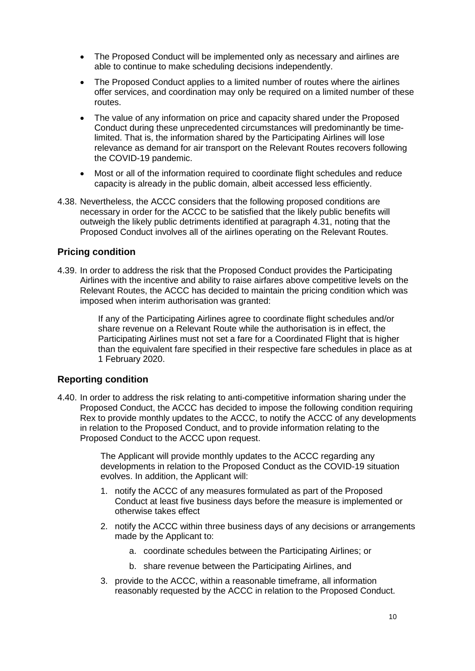- The Proposed Conduct will be implemented only as necessary and airlines are able to continue to make scheduling decisions independently.
- The Proposed Conduct applies to a limited number of routes where the airlines offer services, and coordination may only be required on a limited number of these routes.
- The value of any information on price and capacity shared under the Proposed Conduct during these unprecedented circumstances will predominantly be timelimited. That is, the information shared by the Participating Airlines will lose relevance as demand for air transport on the Relevant Routes recovers following the COVID-19 pandemic.
- Most or all of the information required to coordinate flight schedules and reduce capacity is already in the public domain, albeit accessed less efficiently.
- 4.38. Nevertheless, the ACCC considers that the following proposed conditions are necessary in order for the ACCC to be satisfied that the likely public benefits will outweigh the likely public detriments identified at paragraph [4.31,](#page-8-0) noting that the Proposed Conduct involves all of the airlines operating on the Relevant Routes.

#### **Pricing condition**

4.39. In order to address the risk that the Proposed Conduct provides the Participating Airlines with the incentive and ability to raise airfares above competitive levels on the Relevant Routes, the ACCC has decided to maintain the pricing condition which was imposed when interim authorisation was granted:

> If any of the Participating Airlines agree to coordinate flight schedules and/or share revenue on a Relevant Route while the authorisation is in effect, the Participating Airlines must not set a fare for a Coordinated Flight that is higher than the equivalent fare specified in their respective fare schedules in place as at 1 February 2020.

#### **Reporting condition**

4.40. In order to address the risk relating to anti-competitive information sharing under the Proposed Conduct, the ACCC has decided to impose the following condition requiring Rex to provide monthly updates to the ACCC, to notify the ACCC of any developments in relation to the Proposed Conduct, and to provide information relating to the Proposed Conduct to the ACCC upon request.

> The Applicant will provide monthly updates to the ACCC regarding any developments in relation to the Proposed Conduct as the COVID-19 situation evolves. In addition, the Applicant will:

- 1. notify the ACCC of any measures formulated as part of the Proposed Conduct at least five business days before the measure is implemented or otherwise takes effect
- 2. notify the ACCC within three business days of any decisions or arrangements made by the Applicant to:
	- a. coordinate schedules between the Participating Airlines; or
	- b. share revenue between the Participating Airlines, and
- 3. provide to the ACCC, within a reasonable timeframe, all information reasonably requested by the ACCC in relation to the Proposed Conduct.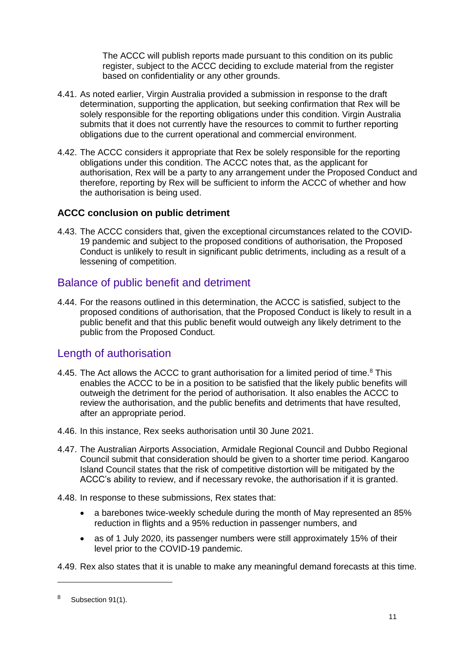The ACCC will publish reports made pursuant to this condition on its public register, subject to the ACCC deciding to exclude material from the register based on confidentiality or any other grounds.

- 4.41. As noted earlier, Virgin Australia provided a submission in response to the draft determination, supporting the application, but seeking confirmation that Rex will be solely responsible for the reporting obligations under this condition. Virgin Australia submits that it does not currently have the resources to commit to further reporting obligations due to the current operational and commercial environment.
- 4.42. The ACCC considers it appropriate that Rex be solely responsible for the reporting obligations under this condition. The ACCC notes that, as the applicant for authorisation, Rex will be a party to any arrangement under the Proposed Conduct and therefore, reporting by Rex will be sufficient to inform the ACCC of whether and how the authorisation is being used.

### **ACCC conclusion on public detriment**

4.43. The ACCC considers that, given the exceptional circumstances related to the COVID-19 pandemic and subject to the proposed conditions of authorisation, the Proposed Conduct is unlikely to result in significant public detriments, including as a result of a lessening of competition.

## Balance of public benefit and detriment

4.44. For the reasons outlined in this determination, the ACCC is satisfied, subject to the proposed conditions of authorisation, that the Proposed Conduct is likely to result in a public benefit and that this public benefit would outweigh any likely detriment to the public from the Proposed Conduct.

# Length of authorisation

- 4.45. The Act allows the ACCC to grant authorisation for a limited period of time.<sup>8</sup> This enables the ACCC to be in a position to be satisfied that the likely public benefits will outweigh the detriment for the period of authorisation. It also enables the ACCC to review the authorisation, and the public benefits and detriments that have resulted, after an appropriate period.
- 4.46. In this instance, Rex seeks authorisation until 30 June 2021.
- 4.47. The Australian Airports Association, Armidale Regional Council and Dubbo Regional Council submit that consideration should be given to a shorter time period. Kangaroo Island Council states that the risk of competitive distortion will be mitigated by the ACCC's ability to review, and if necessary revoke, the authorisation if it is granted.
- 4.48. In response to these submissions, Rex states that:
	- a barebones twice-weekly schedule during the month of May represented an 85% reduction in flights and a 95% reduction in passenger numbers, and
	- as of 1 July 2020, its passenger numbers were still approximately 15% of their level prior to the COVID-19 pandemic.

4.49. Rex also states that it is unable to make any meaningful demand forecasts at this time.

<sup>&</sup>lt;sup>8</sup> Subsection 91(1).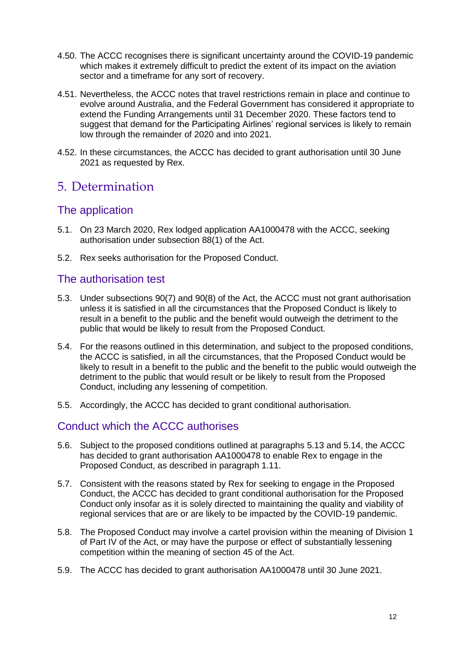- 4.50. The ACCC recognises there is significant uncertainty around the COVID-19 pandemic which makes it extremely difficult to predict the extent of its impact on the aviation sector and a timeframe for any sort of recovery.
- 4.51. Nevertheless, the ACCC notes that travel restrictions remain in place and continue to evolve around Australia, and the Federal Government has considered it appropriate to extend the Funding Arrangements until 31 December 2020. These factors tend to suggest that demand for the Participating Airlines' regional services is likely to remain low through the remainder of 2020 and into 2021.
- 4.52. In these circumstances, the ACCC has decided to grant authorisation until 30 June 2021 as requested by Rex.

# 5. Determination

## The application

- 5.1. On 23 March 2020, Rex lodged application AA1000478 with the ACCC, seeking authorisation under subsection 88(1) of the Act.
- 5.2. Rex seeks authorisation for the Proposed Conduct.

## The authorisation test

- 5.3. Under subsections 90(7) and 90(8) of the Act, the ACCC must not grant authorisation unless it is satisfied in all the circumstances that the Proposed Conduct is likely to result in a benefit to the public and the benefit would outweigh the detriment to the public that would be likely to result from the Proposed Conduct.
- 5.4. For the reasons outlined in this determination, and subject to the proposed conditions, the ACCC is satisfied, in all the circumstances, that the Proposed Conduct would be likely to result in a benefit to the public and the benefit to the public would outweigh the detriment to the public that would result or be likely to result from the Proposed Conduct, including any lessening of competition.
- 5.5. Accordingly, the ACCC has decided to grant conditional authorisation.

## Conduct which the ACCC authorises

- 5.6. Subject to the proposed conditions outlined at paragraphs 5.13 and 5.14, the ACCC has decided to grant authorisation AA1000478 to enable Rex to engage in the Proposed Conduct, as described in paragraph 1.11.
- 5.7. Consistent with the reasons stated by Rex for seeking to engage in the Proposed Conduct, the ACCC has decided to grant conditional authorisation for the Proposed Conduct only insofar as it is solely directed to maintaining the quality and viability of regional services that are or are likely to be impacted by the COVID-19 pandemic.
- 5.8. The Proposed Conduct may involve a cartel provision within the meaning of Division 1 of Part IV of the Act, or may have the purpose or effect of substantially lessening competition within the meaning of section 45 of the Act.
- 5.9. The ACCC has decided to grant authorisation AA1000478 until 30 June 2021.